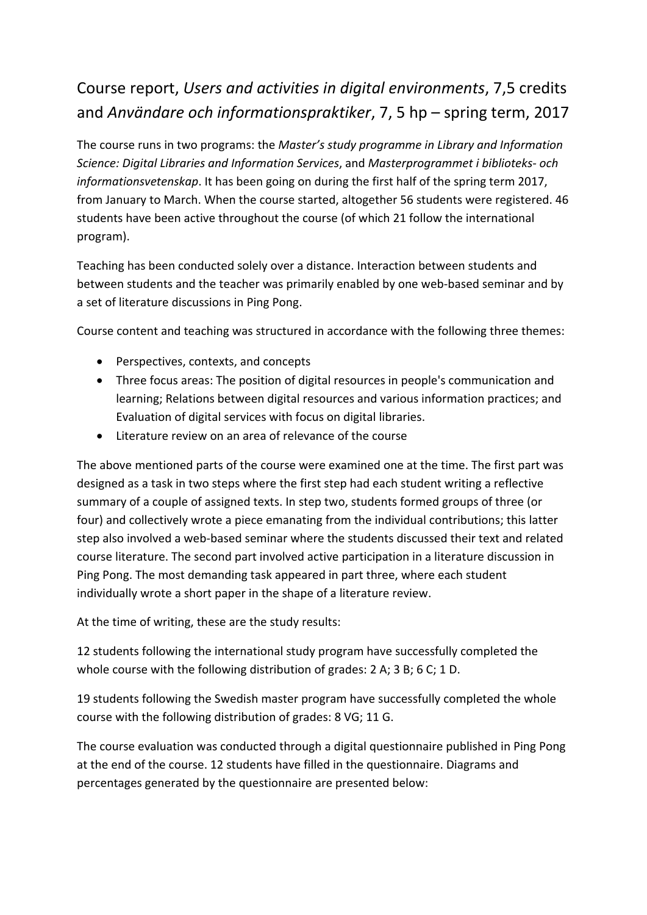## Course report, *Users and activities in digital environments*, 7,5 credits and *Användare och informationspraktiker*, 7, 5 hp – spring term, 2017

The course runs in two programs: the *Master's study programme in Library and Information Science: Digital Libraries and Information Services*, and *Masterprogrammet i biblioteks‐ och informationsvetenskap*. It has been going on during the first half of the spring term 2017, from January to March. When the course started, altogether 56 students were registered. 46 students have been active throughout the course (of which 21 follow the international program).

Teaching has been conducted solely over a distance. Interaction between students and between students and the teacher was primarily enabled by one web-based seminar and by a set of literature discussions in Ping Pong.

Course content and teaching was structured in accordance with the following three themes:

- Perspectives, contexts, and concepts
- Three focus areas: The position of digital resources in people's communication and learning; Relations between digital resources and various information practices; and Evaluation of digital services with focus on digital libraries.
- Literature review on an area of relevance of the course

The above mentioned parts of the course were examined one at the time. The first part was designed as a task in two steps where the first step had each student writing a reflective summary of a couple of assigned texts. In step two, students formed groups of three (or four) and collectively wrote a piece emanating from the individual contributions; this latter step also involved a web‐based seminar where the students discussed their text and related course literature. The second part involved active participation in a literature discussion in Ping Pong. The most demanding task appeared in part three, where each student individually wrote a short paper in the shape of a literature review.

At the time of writing, these are the study results:

12 students following the international study program have successfully completed the whole course with the following distribution of grades: 2 A; 3 B; 6 C; 1 D.

19 students following the Swedish master program have successfully completed the whole course with the following distribution of grades: 8 VG; 11 G.

The course evaluation was conducted through a digital questionnaire published in Ping Pong at the end of the course. 12 students have filled in the questionnaire. Diagrams and percentages generated by the questionnaire are presented below: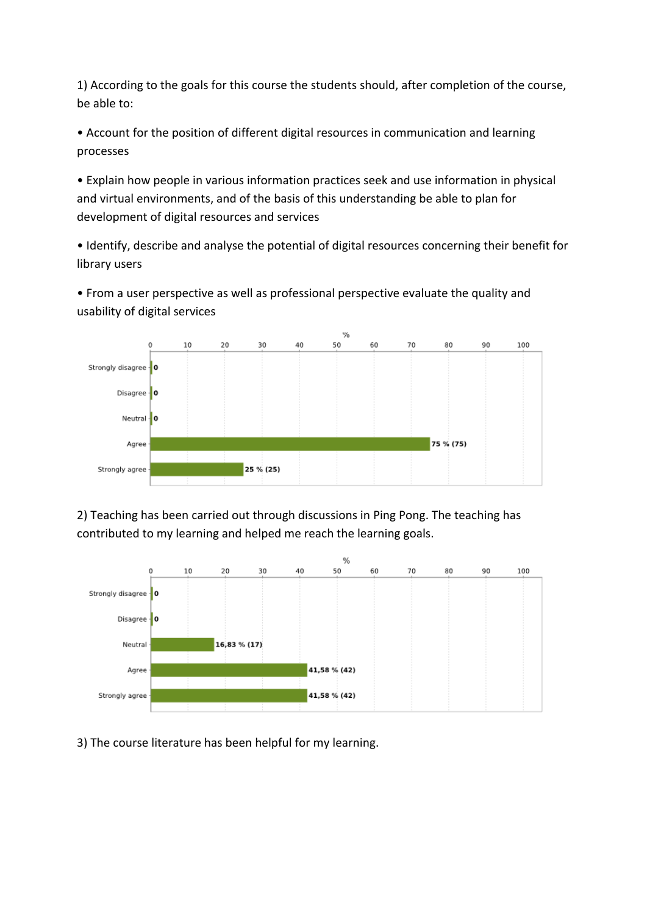1) According to the goals for this course the students should, after completion of the course, be able to:

• Account for the position of different digital resources in communication and learning processes

• Explain how people in various information practices seek and use information in physical and virtual environments, and of the basis of this understanding be able to plan for development of digital resources and services

• Identify, describe and analyse the potential of digital resources concerning their benefit for library users

• From a user perspective as well as professional perspective evaluate the quality and usability of digital services



2) Teaching has been carried out through discussions in Ping Pong. The teaching has contributed to my learning and helped me reach the learning goals.



3) The course literature has been helpful for my learning.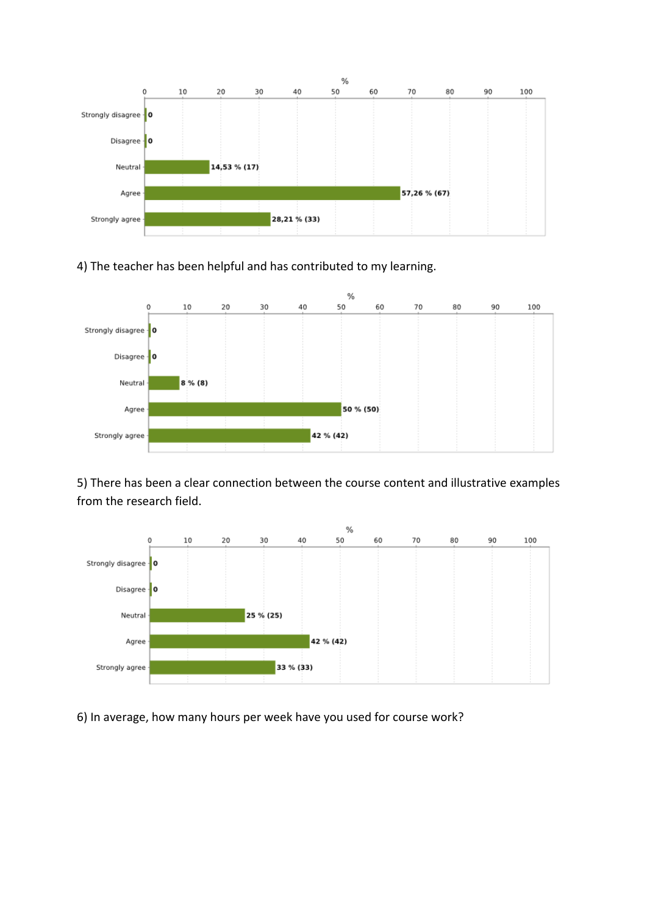

4) The teacher has been helpful and has contributed to my learning.



5) There has been a clear connection between the course content and illustrative examples from the research field.



6) In average, how many hours per week have you used for course work?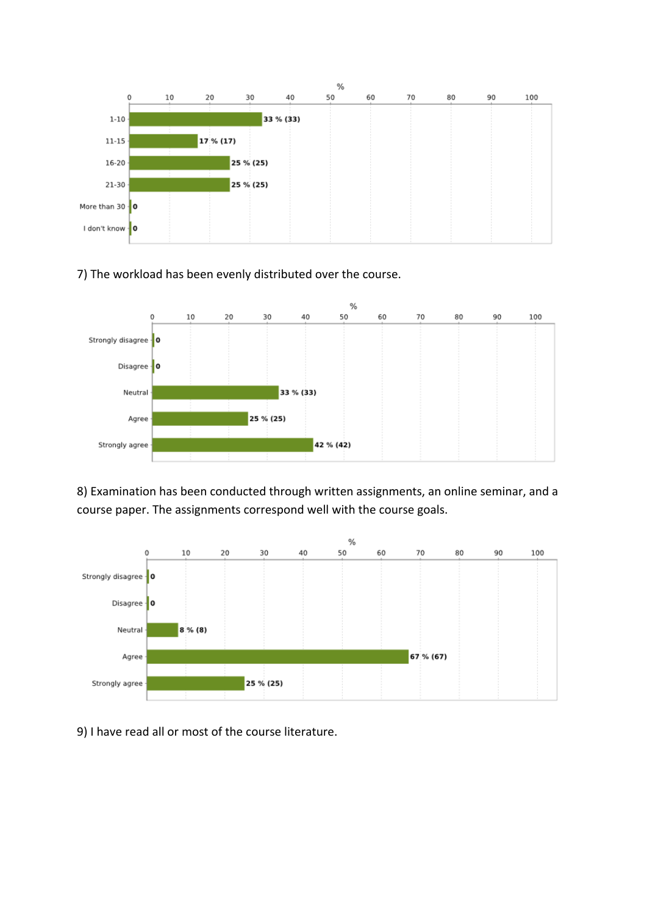

7) The workload has been evenly distributed over the course.



8) Examination has been conducted through written assignments, an online seminar, and a course paper. The assignments correspond well with the course goals.



9) I have read all or most of the course literature.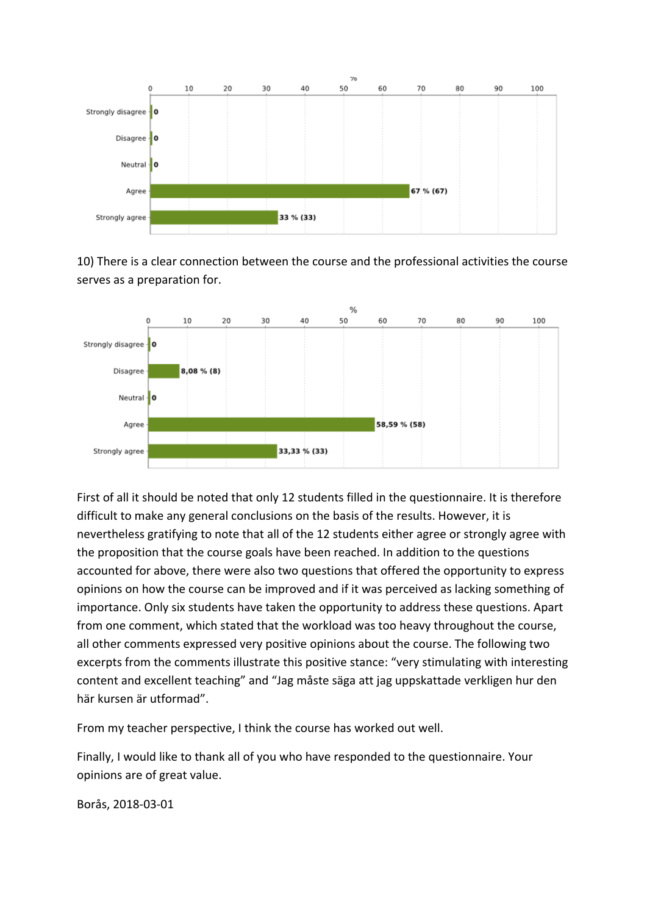

10) There is a clear connection between the course and the professional activities the course serves as a preparation for.



First of all it should be noted that only 12 students filled in the questionnaire. It is therefore difficult to make any general conclusions on the basis of the results. However, it is nevertheless gratifying to note that all of the 12 students either agree or strongly agree with the proposition that the course goals have been reached. In addition to the questions accounted for above, there were also two questions that offered the opportunity to express opinions on how the course can be improved and if it was perceived as lacking something of importance. Only six students have taken the opportunity to address these questions. Apart from one comment, which stated that the workload was too heavy throughout the course, all other comments expressed very positive opinions about the course. The following two excerpts from the comments illustrate this positive stance: "very stimulating with interesting content and excellent teaching" and "Jag måste säga att jag uppskattade verkligen hur den här kursen är utformad".

From my teacher perspective, I think the course has worked out well.

Finally, I would like to thank all of you who have responded to the questionnaire. Your opinions are of great value.

Borås, 2018‐03‐01